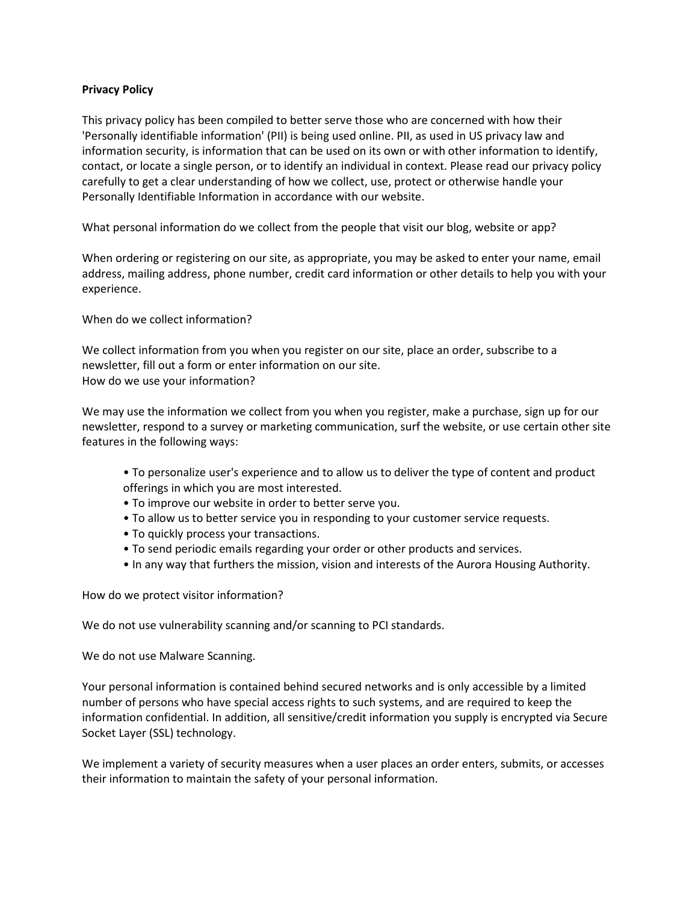### **Privacy Policy**

This privacy policy has been compiled to better serve those who are concerned with how their 'Personally identifiable information' (PII) is being used online. PII, as used in US privacy law and information security, is information that can be used on its own or with other information to identify, contact, or locate a single person, or to identify an individual in context. Please read our privacy policy carefully to get a clear understanding of how we collect, use, protect or otherwise handle your Personally Identifiable Information in accordance with our website.

What personal information do we collect from the people that visit our blog, website or app?

When ordering or registering on our site, as appropriate, you may be asked to enter your name, email address, mailing address, phone number, credit card information or other details to help you with your experience.

When do we collect information?

We collect information from you when you register on our site, place an order, subscribe to a newsletter, fill out a form or enter information on our site. How do we use your information?

We may use the information we collect from you when you register, make a purchase, sign up for our newsletter, respond to a survey or marketing communication, surf the website, or use certain other site features in the following ways:

- To personalize user's experience and to allow us to deliver the type of content and product offerings in which you are most interested.
- To improve our website in order to better serve you.
- To allow us to better service you in responding to your customer service requests.
- To quickly process your transactions.
- To send periodic emails regarding your order or other products and services.
- In any way that furthers the mission, vision and interests of the Aurora Housing Authority.

How do we protect visitor information?

We do not use vulnerability scanning and/or scanning to PCI standards.

We do not use Malware Scanning.

Your personal information is contained behind secured networks and is only accessible by a limited number of persons who have special access rights to such systems, and are required to keep the information confidential. In addition, all sensitive/credit information you supply is encrypted via Secure Socket Layer (SSL) technology.

We implement a variety of security measures when a user places an order enters, submits, or accesses their information to maintain the safety of your personal information.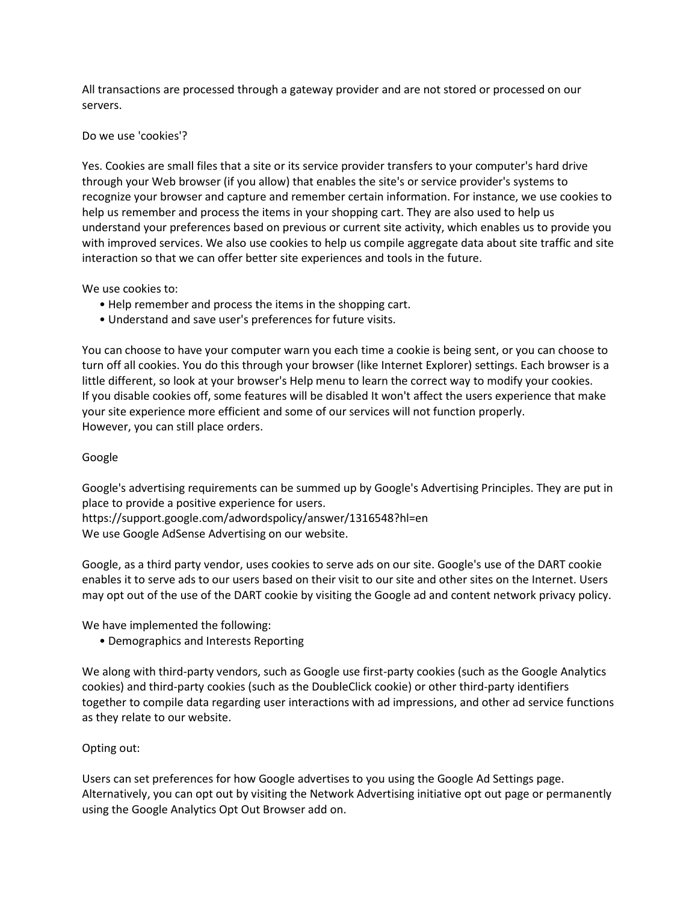All transactions are processed through a gateway provider and are not stored or processed on our servers.

### Do we use 'cookies'?

Yes. Cookies are small files that a site or its service provider transfers to your computer's hard drive through your Web browser (if you allow) that enables the site's or service provider's systems to recognize your browser and capture and remember certain information. For instance, we use cookies to help us remember and process the items in your shopping cart. They are also used to help us understand your preferences based on previous or current site activity, which enables us to provide you with improved services. We also use cookies to help us compile aggregate data about site traffic and site interaction so that we can offer better site experiences and tools in the future.

We use cookies to:

- Help remember and process the items in the shopping cart.
- Understand and save user's preferences for future visits.

You can choose to have your computer warn you each time a cookie is being sent, or you can choose to turn off all cookies. You do this through your browser (like Internet Explorer) settings. Each browser is a little different, so look at your browser's Help menu to learn the correct way to modify your cookies. If you disable cookies off, some features will be disabled It won't affect the users experience that make your site experience more efficient and some of our services will not function properly. However, you can still place orders.

# Google

Google's advertising requirements can be summed up by Google's Advertising Principles. They are put in place to provide a positive experience for users.

https://support.google.com/adwordspolicy/answer/1316548?hl=en We use Google AdSense Advertising on our website.

Google, as a third party vendor, uses cookies to serve ads on our site. Google's use of the DART cookie enables it to serve ads to our users based on their visit to our site and other sites on the Internet. Users may opt out of the use of the DART cookie by visiting the Google ad and content network privacy policy.

We have implemented the following:

• Demographics and Interests Reporting

We along with third-party vendors, such as Google use first-party cookies (such as the Google Analytics cookies) and third-party cookies (such as the DoubleClick cookie) or other third-party identifiers together to compile data regarding user interactions with ad impressions, and other ad service functions as they relate to our website.

# Opting out:

Users can set preferences for how Google advertises to you using the Google Ad Settings page. Alternatively, you can opt out by visiting the Network Advertising initiative opt out page or permanently using the Google Analytics Opt Out Browser add on.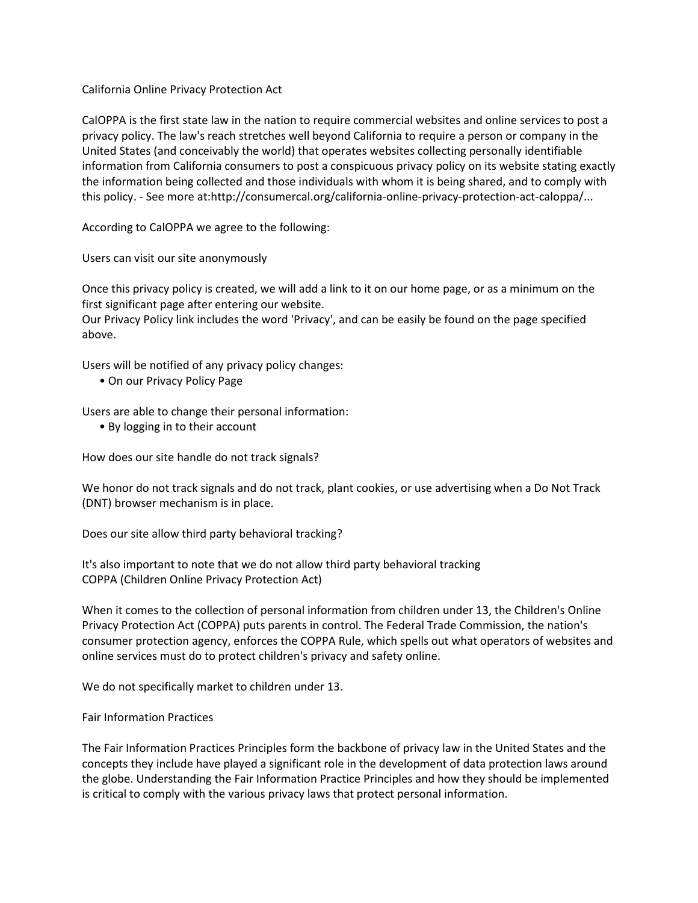California Online Privacy Protection Act

CalOPPA is the first state law in the nation to require commercial websites and online services to post a privacy policy. The law's reach stretches well beyond California to require a person or company in the United States (and conceivably the world) that operates websites collecting personally identifiable information from California consumers to post a conspicuous privacy policy on its website stating exactly the information being collected and those individuals with whom it is being shared, and to comply with this policy. - See more at:http://consumercal.org/california-online-privacy-protection-act-caloppa/...

According to CalOPPA we agree to the following:

Users can visit our site anonymously

Once this privacy policy is created, we will add a link to it on our home page, or as a minimum on the first significant page after entering our website.

Our Privacy Policy link includes the word 'Privacy', and can be easily be found on the page specified above.

Users will be notified of any privacy policy changes:

• On our Privacy Policy Page

Users are able to change their personal information:

• By logging in to their account

How does our site handle do not track signals?

We honor do not track signals and do not track, plant cookies, or use advertising when a Do Not Track (DNT) browser mechanism is in place.

Does our site allow third party behavioral tracking?

It's also important to note that we do not allow third party behavioral tracking COPPA (Children Online Privacy Protection Act)

When it comes to the collection of personal information from children under 13, the Children's Online Privacy Protection Act (COPPA) puts parents in control. The Federal Trade Commission, the nation's consumer protection agency, enforces the COPPA Rule, which spells out what operators of websites and online services must do to protect children's privacy and safety online.

We do not specifically market to children under 13.

Fair Information Practices

The Fair Information Practices Principles form the backbone of privacy law in the United States and the concepts they include have played a significant role in the development of data protection laws around the globe. Understanding the Fair Information Practice Principles and how they should be implemented is critical to comply with the various privacy laws that protect personal information.